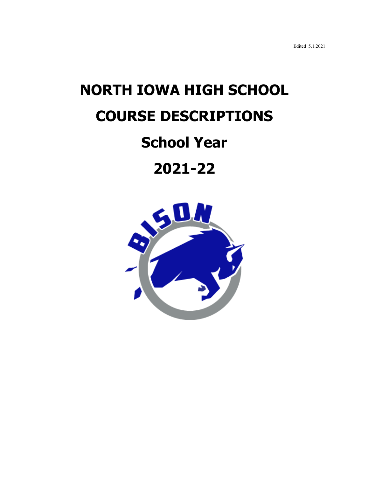Edited 5.1.2021

# **NORTH IOWA HIGH SCHOOL COURSE DESCRIPTIONS**

# **School Year**

**2021-22**

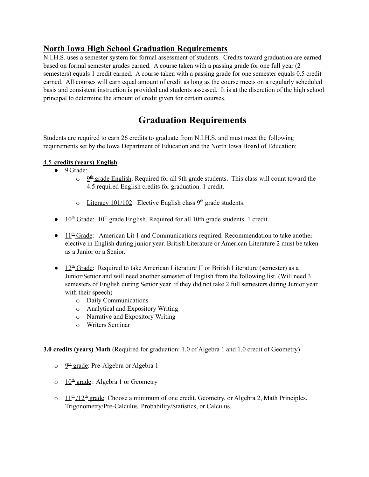### **North Iowa High School Graduation Requirements**

N.I.H.S. uses a semester system for formal assessment of students. Credits toward graduation are earned based on formal semester grades earned. A course taken with a passing grade for one full year (2 semesters) equals 1 credit earned. A course taken with a passing grade for one semester equals 0.5 credit earned. All courses will earn equal amount of credit as long as the course meets on a regularly scheduled basis and consistent instruction is provided and students assessed. It is at the discretion of the high school principal to determine the amount of credit given for certain courses.

### **Graduation Requirements**

Students are required to earn 26 credits to graduate from N.I.H.S. and must meet the following requirements set by the Iowa Department of Education and the North Iowa Board of Education:

#### 4.5 **credits (years) English**

- 9 Grade:
	- $\circ$   $9^{\text{th}}$  grade English. Required for all 9th grade students. This class will count toward the 4.5 required English credits for graduation. 1 credit.
	- $\circ$  Literacy 101/102. Elective English class 9<sup>th</sup> grade students.
- $\bullet$  10<sup>th</sup> Grade: 10<sup>th</sup> grade English. Required for all 10th grade students. 1 credit.
- $\bullet$  11<sup>th</sup> Grade: American Lit 1 and Communications required. Recommendation to take another elective in English during junior year. British Literature or American Literature 2 must be taken as a Junior or a Senior.
- $\bullet$  12<sup>th</sup> Grade: Required to take American Literature II or British Literature (semester) as a Junior/Senior and will need another semester of English from the following list. (Will need 3 semesters of English during Senior year if they did not take 2 full semesters during Junior year with their speech)
	- o Daily Communications
	- o Analytical and Expository Writing
	- o Narrative and Expository Writing
	- o Writers Seminar

#### **3.0 credits (years) Math** (Required for graduation: 1.0 of Algebra 1 and 1.0 credit of Geometry)

- o <sup>9th</sup> grade: Pre-Algebra or Algebra 1
- o 10<sup>th</sup> grade: Algebra 1 or Geometry
- $\circ$  11<sup>th</sup>/12<sup>th</sup> grade: Choose a minimum of one credit. Geometry, or Algebra 2, Math Principles, Trigonometry/Pre-Calculus, Probability/Statistics, or Calculus.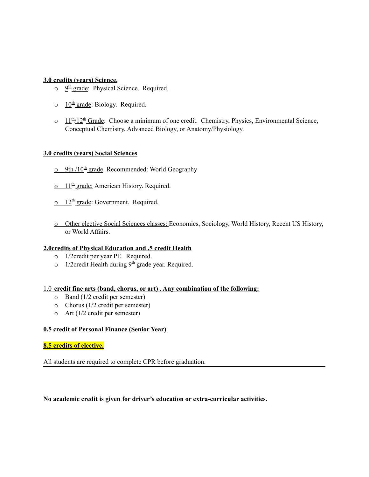#### **3.0 credits (years) Science.**

- o  $2<sup>th</sup>$  grade: Physical Science. Required.
- $\circ$  10<sup>th</sup> grade: Biology. Required.
- $\circ$  11<sup>th</sup>/12<sup>th</sup> Grade: Choose a minimum of one credit. Chemistry, Physics, Environmental Science, Conceptual Chemistry, Advanced Biology, or Anatomy/Physiology.

#### **3.0 credits (years) Social Sciences**

- o 9th /10<sup>th</sup> grade: Recommended: World Geography
- $\circ$  11<sup>th</sup> grade: American History. Required.
- $\circ$  12<sup>th</sup> grade: Government. Required.
- o Other elective Social Sciences classes: Economics, Sociology, World History, Recent US History, or World Affairs.

#### **2.0credits of Physical Education and .5 credit Health**

- o 1/2credit per year PE. Required.
- o 1/2 credit Health during 9<sup>th</sup> grade year. Required.

#### 1.0 **credit fine arts (band, chorus, or art) . Any combination of the following:**

- o Band (1/2 credit per semester)
- o Chorus (1/2 credit per semester)
- o Art (1/2 credit per semester)

#### **0.5 credit of Personal Finance (Senior Year)**

#### **8.5 credits of elective.**

All students are required to complete CPR before graduation.

#### **No academic credit is given for driver's education or extra-curricular activities.**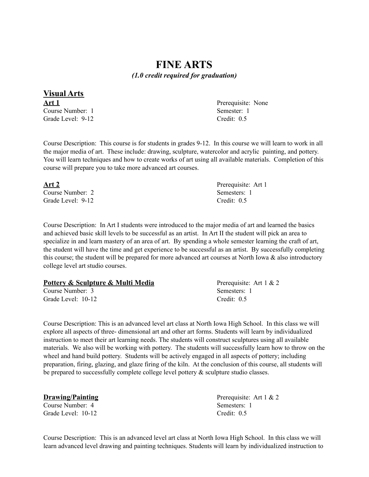### **FINE ARTS** *(1.0 credit required for graduation)*

**Visual Arts Art 1** Prerequisite: None Course Number: 1 Semester: 1 Grade Level: 9-12 Credit: 0.5

Course Description: This course is for students in grades 9-12. In this course we will learn to work in all the major media of art. These include: drawing, sculpture, watercolor and acrylic painting, and pottery. You will learn techniques and how to create works of art using all available materials. Completion of this course will prepare you to take more advanced art courses.

| Art 2             | Prerequisite: Art 1 |
|-------------------|---------------------|
| Course Number: 2  | Semesters: 1        |
| Grade Level: 9-12 | Credit: $0.5$       |

Course Description: In Art I students were introduced to the major media of art and learned the basics and achieved basic skill levels to be successful as an artist. In Art II the student will pick an area to specialize in and learn mastery of an area of art. By spending a whole semester learning the craft of art, the student will have the time and get experience to be successful as an artist. By successfully completing this course; the student will be prepared for more advanced art courses at North Iowa  $\&$  also introductory college level art studio courses.

| Pottery & Sculpture & Multi Media | Prerequisite: Art $1 & 2$ |
|-----------------------------------|---------------------------|
| Course Number: 3                  | Semesters: 1              |
| Grade Level: 10-12                | Credit: $0.5$             |

Course Description: This is an advanced level art class at North Iowa High School. In this class we will explore all aspects of three- dimensional art and other art forms. Students will learn by individualized instruction to meet their art learning needs. The students will construct sculptures using all available materials. We also will be working with pottery. The students will successfully learn how to throw on the wheel and hand build pottery. Students will be actively engaged in all aspects of pottery; including preparation, firing, glazing, and glaze firing of the kiln. At the conclusion of this course, all students will be prepared to successfully complete college level pottery  $\&$  sculpture studio classes.

| Drawing/Painting   | Prerequisite: Art $1 & 2$ |
|--------------------|---------------------------|
| Course Number: 4   | Semesters: 1              |
| Grade Level: 10-12 | Credit: $0.5$             |

Course Description: This is an advanced level art class at North Iowa High School. In this class we will learn advanced level drawing and painting techniques. Students will learn by individualized instruction to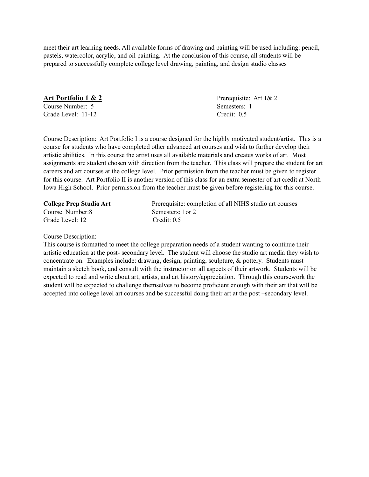meet their art learning needs. All available forms of drawing and painting will be used including: pencil, pastels, watercolor, acrylic, and oil painting. At the conclusion of this course, all students will be prepared to successfully complete college level drawing, painting, and design studio classes

**Art Portfolio 1 & 2** Prerequisite: Art 1 & 2 Course Number: 5 Semesters: 1 Grade Level: 11-12 Credit: 0.5

Course Description: Art Portfolio I is a course designed for the highly motivated student/artist. This is a course for students who have completed other advanced art courses and wish to further develop their artistic abilities. In this course the artist uses all available materials and creates works of art. Most assignments are student chosen with direction from the teacher. This class will prepare the student for art careers and art courses at the college level. Prior permission from the teacher must be given to register for this course. Art Portfolio II is another version of this class for an extra semester of art credit at North Iowa High School. Prior permission from the teacher must be given before registering for this course.

Course Number:8 Semesters: 1or 2 Grade Level: 12 Credit: 0.5

**College Prep Studio Art** Prerequisite: completion of all NIHS studio art courses

Course Description:

This course is formatted to meet the college preparation needs of a student wanting to continue their artistic education at the post- secondary level. The student will choose the studio art media they wish to concentrate on. Examples include: drawing, design, painting, sculpture, & pottery. Students must maintain a sketch book, and consult with the instructor on all aspects of their artwork. Students will be expected to read and write about art, artists, and art history/appreciation. Through this coursework the student will be expected to challenge themselves to become proficient enough with their art that will be accepted into college level art courses and be successful doing their art at the post –secondary level.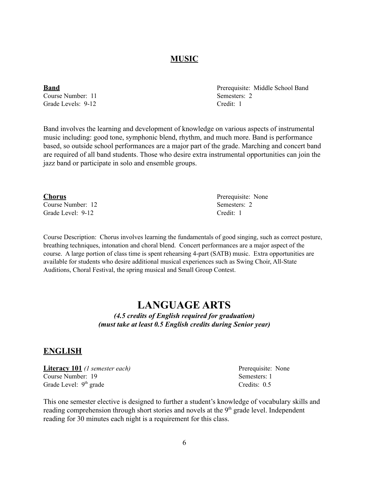### **MUSIC**

Course Number: 11 Semesters: 2 Grade Levels: 9-12 Credit: 1

Band involves the learning and development of knowledge on various aspects of instrumental music including: good tone, symphonic blend, rhythm, and much more. Band is performance based, so outside school performances are a major part of the grade. Marching and concert band are required of all band students. Those who desire extra instrumental opportunities can join the jazz band or participate in solo and ensemble groups.

Course Number: 12 Semesters: 2 Grade Level: 9-12 Credit: 1

Course Description: Chorus involves learning the fundamentals of good singing, such as correct posture, breathing techniques, intonation and choral blend. Concert performances are a major aspect of the course. A large portion of class time is spent rehearsing 4-part (SATB) music. Extra opportunities are available for students who desire additional musical experiences such as Swing Choir, All-State Auditions, Choral Festival, the spring musical and Small Group Contest.

### **LANGUAGE ARTS**

*(4.5 credits of English required for graduation) (must take at least 0.5 English credits during Senior year)*

### **ENGLISH**

**Literacy 101** *(1 semester each)* Prerequisite: None Course Number: 19 Semesters: 1 Grade Level: 9<sup>th</sup> grade

This one semester elective is designed to further a student's knowledge of vocabulary skills and reading comprehension through short stories and novels at the 9<sup>th</sup> grade level. Independent reading for 30 minutes each night is a requirement for this class.

**Chorus** Prerequisite: None

**Band** Prerequisite: Middle School Band

Credits: 0.5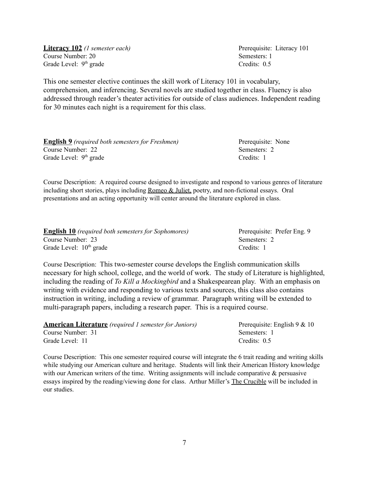**Literacy 102** *(1 semester each)* Prerequisite: Literacy 101 Course Number: 20 Semesters: 1 Grade Level: 9

This one semester elective continues the skill work of Literacy 101 in vocabulary, comprehension, and inferencing. Several novels are studied together in class. Fluency is also addressed through reader's theater activities for outside of class audiences. Independent reading for 30 minutes each night is a requirement for this class.

**English 9** *(required both semesters for Freshmen)* Prerequisite: None Course Number: 22 Semesters: 2 Grade Level: 9<sup>th</sup> grade

Course Description: A required course designed to investigate and respond to various genres of literature including short stories, plays including Romeo & Juliet, poetry, and non-fictional essays. Oral presentations and an acting opportunity will center around the literature explored in class.

| <b>English 10</b> (required both semesters for Sophomores) | Prerequisite: Prefer Eng. 9 |
|------------------------------------------------------------|-----------------------------|
| Course Number: 23                                          | Semesters: 2                |
| Grade Level: $10th$ grade                                  | Credits: 1                  |

Course Description: This two-semester course develops the English communication skills necessary for high school, college, and the world of work. The study of Literature is highlighted, including the reading of *To Kill a Mockingbird* and a Shakespearean play. With an emphasis on writing with evidence and responding to various texts and sources, this class also contains instruction in writing, including a review of grammar. Paragraph writing will be extended to multi-paragraph papers, including a research paper. This is a required course.

| <b>American Literature</b> (required 1 semester for Juniors) | Prerequisite: English $9 & 10$ |
|--------------------------------------------------------------|--------------------------------|
| Course Number: 31                                            | Semesters: 1                   |
| Grade Level: 11                                              | Credits: $0.5$                 |

Course Description: This one semester required course will integrate the 6 trait reading and writing skills while studying our American culture and heritage. Students will link their American History knowledge with our American writers of the time. Writing assignments will include comparative  $\&$  persuasive essays inspired by the reading/viewing done for class. Arthur Miller's The Crucible will be included in our studies.

Credits:  $0.5$ 

 $C$ redits: 1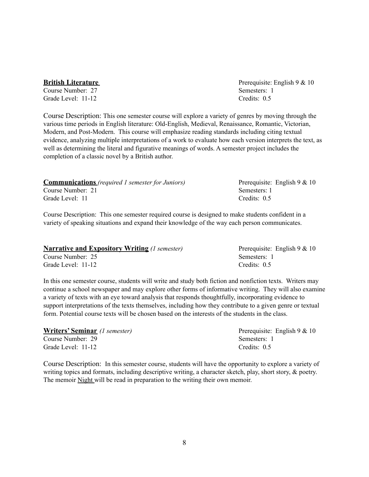#### **British Literature Premiers 2008 Presenting Presenting Prerequisite: English 9 & 10**

**Course Number: 27** Semesters: 1 Grade Level: 11-12 Credits: 0.5

Course Description: This one semester course will explore a variety of genres by moving through the various time periods in English literature: Old-English, Medieval, Renaissance, Romantic, Victorian, Modern, and Post-Modern. This course will emphasize reading standards including citing textual evidence, analyzing multiple interpretations of a work to evaluate how each version interprets the text, as well as determining the literal and figurative meanings of words. A semester project includes the completion of a classic novel by a British author.

| Course Number: 21 | Semesters: 1                                                                                         |  |
|-------------------|------------------------------------------------------------------------------------------------------|--|
| Grade Level: 11   | Credits: $0.5$                                                                                       |  |
|                   | Course December on This are consected permeabed course in decisional to make students confident in a |  |

Course Description: This one semester required course is designed to make students confident in a variety of speaking situations and expand their knowledge of the way each person communicates.

| <b>Narrative and Expository Writing (1 semester)</b> | Prerequisite: English $9 & 10$ |
|------------------------------------------------------|--------------------------------|
| Course Number: 25                                    | Semesters: 1                   |
| Grade Level: 11-12                                   | Credits: $0.5$                 |

In this one semester course, students will write and study both fiction and nonfiction texts. Writers may continue a school newspaper and may explore other forms of informative writing. They will also examine a variety of texts with an eye toward analysis that responds thoughtfully, incorporating evidence to support interpretations of the texts themselves, including how they contribute to a given genre or textual form. Potential course texts will be chosen based on the interests of the students in the class.

**Writers' Seminar** *(1 semester)* Prerequisite: English 9 & 10 **Course Number: 29 Semesters: 1** Grade Level: 11-12 Credits: 0.5

Course Description: In this semester course, students will have the opportunity to explore a variety of writing topics and formats, including descriptive writing, a character sketch, play, short story, & poetry. The memoir Night will be read in preparation to the writing their own memoir.

**Communications** *(required 1 semester for Juniors)* Prerequisite: English 9 & 10<br>Course Number: 21<br>Semesters: 1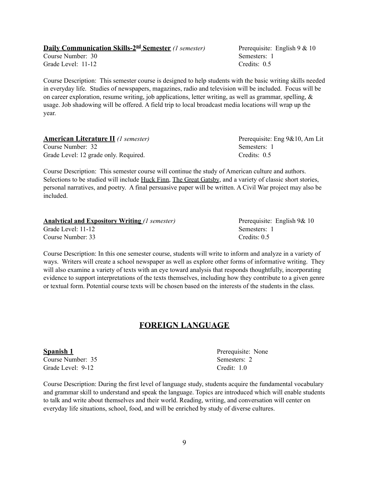### **Daily Communication Skills-2<sup>nd</sup> Semester** *(1 semester)* Prerequisite: English 9 & 10

Course Number: 30 Semesters: 1 Grade Level: 11-12 Credits: 0.5

Course Description: This semester course is designed to help students with the basic writing skills needed in everyday life. Studies of newspapers, magazines, radio and television will be included. Focus will be on career exploration, resume writing, job applications, letter writing, as well as grammar, spelling, & usage. Job shadowing will be offered. A field trip to local broadcast media locations will wrap up the year.

| <b>American Literature II</b> (1 semester) | Prerequisite: Eng 9&10, Am Lit |
|--------------------------------------------|--------------------------------|
| Course Number: 32                          | Semesters: 1                   |
| Grade Level: 12 grade only. Required.      | Credits: $0.5$                 |

Course Description: This semester course will continue the study of American culture and authors. Selections to be studied will include Huck Finn, The Great Gatsby, and a variety of classic short stories, personal narratives, and poetry. A final persuasive paper will be written. A Civil War project may also be included.

| <b>Analytical and Expository Writing (1 semester)</b> | Prerequisite: English 9& 10 |
|-------------------------------------------------------|-----------------------------|
| Grade Level: 11-12                                    | Semesters: 1                |
| Course Number: 33                                     | Credits: $0.5$              |

Course Description: In this one semester course, students will write to inform and analyze in a variety of ways. Writers will create a school newspaper as well as explore other forms of informative writing. They will also examine a variety of texts with an eye toward analysis that responds thoughtfully, incorporating evidence to support interpretations of the texts themselves, including how they contribute to a given genre or textual form. Potential course texts will be chosen based on the interests of the students in the class.

#### **FOREIGN LANGUAGE**

Course Number: 35 Semesters: 2 Grade Level: 9-12 Credit: 1.0

Course Description: During the first level of language study, students acquire the fundamental vocabulary and grammar skill to understand and speak the language. Topics are introduced which will enable students to talk and write about themselves and their world. Reading, writing, and conversation will center on everyday life situations, school, food, and will be enriched by study of diverse cultures.

**Spanish 1** Prerequisite: None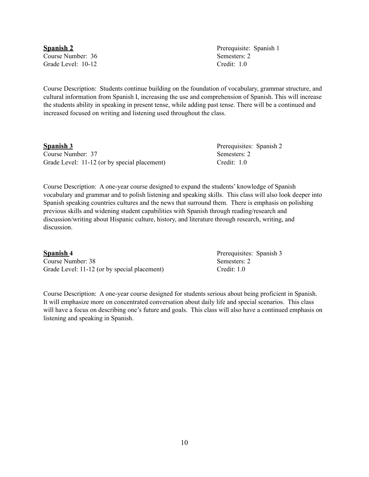10

Course Number: 36 Semesters: 2 Grade Level: 10-12 Credit: 1.0

Course Description: Students continue building on the foundation of vocabulary, grammar structure, and cultural information from Spanish I, increasing the use and comprehension of Spanish. This will increase the students ability in speaking in present tense, while adding past tense. There will be a continued and increased focused on writing and listening used throughout the class.

| <b>Spanish 3</b>                             | Prerequisites: Spanish 2 |  |
|----------------------------------------------|--------------------------|--|
| Course Number: 37                            | Semesters: 2             |  |
| Grade Level: 11-12 (or by special placement) | Credit: $1.0$            |  |

Course Description: A one-year course designed to expand the students' knowledge of Spanish vocabulary and grammar and to polish listening and speaking skills. This class will also look deeper into Spanish speaking countries cultures and the news that surround them. There is emphasis on polishing previous skills and widening student capabilities with Spanish through reading/research and discussion/writing about Hispanic culture, history, and literature through research, writing, and discussion.

| <b>Spanish 4</b>                             | Prerequisites: Spanish 3 |
|----------------------------------------------|--------------------------|
| Course Number: 38                            | Semesters: 2             |
| Grade Level: 11-12 (or by special placement) | Credit: 1.0              |

Course Description: A one-year course designed for students serious about being proficient in Spanish. It will emphasize more on concentrated conversation about daily life and special scenarios. This class will have a focus on describing one's future and goals. This class will also have a continued emphasis on listening and speaking in Spanish.

**Spanish 2** Prerequisite: Spanish 1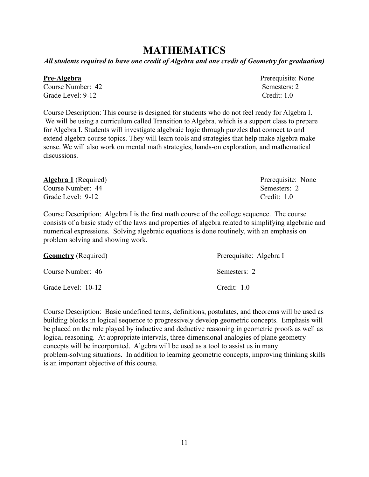### **MATHEMATICS**

*All students required to have one credit of Algebra and one credit of Geometry for graduation)*

Course Number: 42 Semesters: 2 Grade Level: 9-12 Credit: 1.0

Course Description: This course is designed for students who do not feel ready for Algebra I. We will be using a curriculum called Transition to Algebra, which is a support class to prepare for Algebra I. Students will investigate algebraic logic through puzzles that connect to and extend algebra course topics. They will learn tools and strategies that help make algebra make sense. We will also work on mental math strategies, hands-on exploration, and mathematical discussions.

| <b>Algebra 1</b> (Required) | Prerequisite: None |
|-----------------------------|--------------------|
| Course Number: 44           | Semesters: 2       |
| Grade Level: 9-12           | Credit: 1.0        |

Course Description: Algebra I is the first math course of the college sequence. The course consists of a basic study of the laws and properties of algebra related to simplifying algebraic and numerical expressions. Solving algebraic equations is done routinely, with an emphasis on problem solving and showing work.

| <b>Geometry</b> (Required) | Prerequisite: Algebra I |
|----------------------------|-------------------------|
| Course Number: 46          | Semesters: 2            |
| Grade Level: 10-12         | Credit: $1.0$           |

Course Description: Basic undefined terms, definitions, postulates, and theorems will be used as building blocks in logical sequence to progressively develop geometric concepts. Emphasis will be placed on the role played by inductive and deductive reasoning in geometric proofs as well as logical reasoning. At appropriate intervals, three-dimensional analogies of plane geometry concepts will be incorporated. Algebra will be used as a tool to assist us in many problem-solving situations. In addition to learning geometric concepts, improving thinking skills is an important objective of this course.

**Pre-Algebra** Pre-Algebra **Pre-Algebra** Prerequisite: None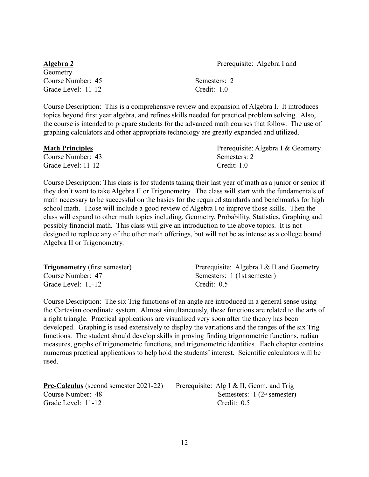**Algebra 2** Prerequisite: Algebra I and

Geometry Course Number: 45 Semesters: 2 Grade Level: 11-12 Credit: 1.0

Course Description: This is a comprehensive review and expansion of Algebra I. It introduces topics beyond first year algebra, and refines skills needed for practical problem solving. Also, the course is intended to prepare students for the advanced math courses that follow. The use of graphing calculators and other appropriate technology are greatly expanded and utilized.

| <b>Math Principles</b> | Prerequisite: Algebra I & Geometry |
|------------------------|------------------------------------|
| Course Number: 43      | Semesters: 2                       |
| Grade Level: 11-12     | Credit: $1.0$                      |

Course Description: This class is for students taking their last year of math as a junior or senior if they don't want to take Algebra II or Trigonometry. The class will start with the fundamentals of math necessary to be successful on the basics for the required standards and benchmarks for high school math. Those will include a good review of Algebra I to improve those skills. Then the class will expand to other math topics including, Geometry, Probability, Statistics, Graphing and possibly financial math. This class will give an introduction to the above topics. It is not designed to replace any of the other math offerings, but will not be as intense as a college bound Algebra II or Trigonometry.

| <b>Trigonometry</b> (first semester) | Prerequisite: Algebra I & II and Geometry |
|--------------------------------------|-------------------------------------------|
| Course Number: 47                    | Semesters: 1 (1st semester)               |
| Grade Level: 11-12                   | Credit: $0.5$                             |

Course Description: The six Trig functions of an angle are introduced in a general sense using the Cartesian coordinate system. Almost simultaneously, these functions are related to the arts of a right triangle. Practical applications are visualized very soon after the theory has been developed. Graphing is used extensively to display the variations and the ranges of the six Trig functions. The student should develop skills in proving finding trigonometric functions, radian measures, graphs of trigonometric functions, and trigonometric identities. Each chapter contains numerous practical applications to help hold the students' interest. Scientific calculators will be used.

| <b>Pre-Calculus</b> (second semester 2021-22) Prerequisite: $\angle$ |  |
|----------------------------------------------------------------------|--|
| Course Number: 48                                                    |  |
| Grade Level: 11-12                                                   |  |

**Pre-Calculus** I & II, Geom, and Trig Semesters:  $1 (2<sup>nd</sup> semester)$ Credit:  $0.5$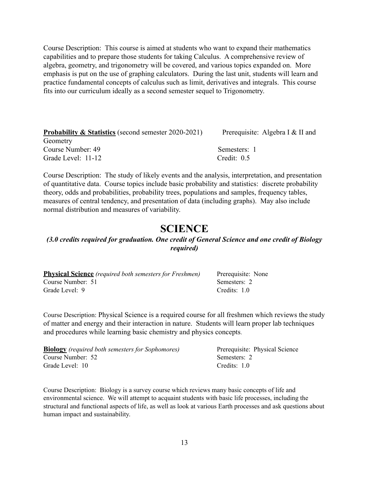Course Description: This course is aimed at students who want to expand their mathematics capabilities and to prepare those students for taking Calculus. A comprehensive review of algebra, geometry, and trigonometry will be covered, and various topics expanded on. More emphasis is put on the use of graphing calculators. During the last unit, students will learn and practice fundamental concepts of calculus such as limit, derivatives and integrals. This course fits into our curriculum ideally as a second semester sequel to Trigonometry.

| <b>Probability &amp; Statistics</b> (second semester 2020-2021) | Prerequisite: Algebra I & II and |
|-----------------------------------------------------------------|----------------------------------|
| Geometry                                                        |                                  |
| Course Number: 49                                               | Semesters: 1                     |
| Grade Level: 11-12                                              | Credit: $0.5$                    |

Course Description: The study of likely events and the analysis, interpretation, and presentation of quantitative data. Course topics include basic probability and statistics: discrete probability theory, odds and probabilities, probability trees, populations and samples, frequency tables, measures of central tendency, and presentation of data (including graphs). May also include normal distribution and measures of variability.

### **SCIENCE**

#### *(3.0 credits required for graduation. One credit of General Science and one credit of Biology required)*

| <b>Physical Science</b> (required both semesters for Freshmen) | Prerequisite: None |
|----------------------------------------------------------------|--------------------|
| Course Number: 51                                              | Semesters: 2       |
| Grade Level: 9                                                 | Credits: 1.0       |

Course Description: Physical Science is a required course for all freshmen which reviews the study of matter and energy and their interaction in nature. Students will learn proper lab techniques and procedures while learning basic chemistry and physics concepts.

| <b>Biology</b> (required both semesters for Sophomores) | Prerequisite: Physical Science |
|---------------------------------------------------------|--------------------------------|
| Course Number: 52                                       | Semesters: 2                   |
| Grade Level: 10                                         | Credits: $1.0$                 |

Course Description: Biology is a survey course which reviews many basic concepts of life and environmental science. We will attempt to acquaint students with basic life processes, including the structural and functional aspects of life, as well as look at various Earth processes and ask questions about human impact and sustainability.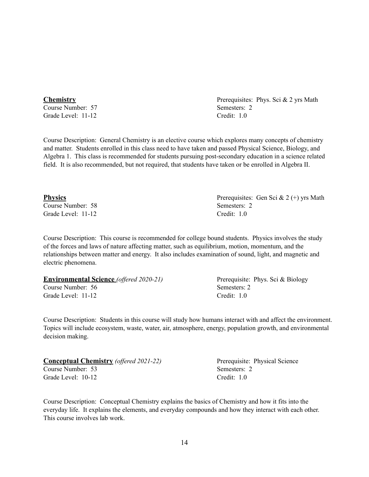Course Number: 57 Semesters: 2

Course Description: General Chemistry is an elective course which explores many concepts of chemistry and matter. Students enrolled in this class need to have taken and passed Physical Science, Biology, and Algebra 1. This class is recommended for students pursuing post-secondary education in a science related field. It is also recommended, but not required, that students have taken or be enrolled in Algebra II.

Course Description: This course is recommended for college bound students. Physics involves the study of the forces and laws of nature affecting matter, such as equilibrium, motion, momentum, and the relationships between matter and energy. It also includes examination of sound, light, and magnetic and electric phenomena.

| <b>Environmental Science</b> (offered 2020-21) | Prerequisite: Phys. Sci & Biology |
|------------------------------------------------|-----------------------------------|
| Course Number: 56                              | Semesters: 2                      |
| Grade Level: 11-12                             | Credit: 1.0                       |

Course Description: Students in this course will study how humans interact with and affect the environment. Topics will include ecosystem, waste, water, air, atmosphere, energy, population growth, and environmental

| Course Description: Conceptual Chemistry explains the basics of Chemistry and how it fits into the     |
|--------------------------------------------------------------------------------------------------------|
| everyday life. It explains the elements, and everyday compounds and how they interact with each other. |
| This course involves lab work.                                                                         |

**Conceptual Chemistry** (offered 2021-22) Prerequisite: Physical Science

Course Number: 53 Semesters: 2 Grade Level: 10-12 Credit: 1.0

**Physics** Prerequisites: Gen Sci & 2 (+) yrs Math Course Number: 58 Semesters: 2 Grade Level: 11-12 Credit: 1.0

**Chemistry** Prerequisites: Phys. Sci & 2 yrs Math Grade Level: 11-12 Credit: 1.0

# decision making.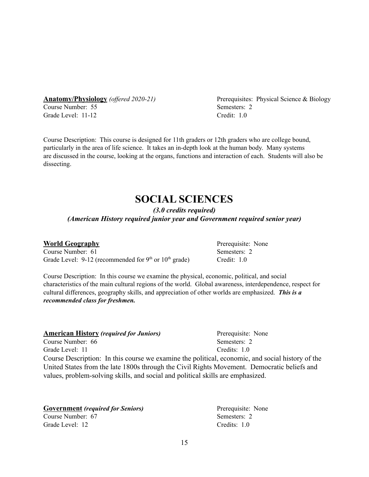Course Number: 55 Semesters: 2 Grade Level: 11-12 Credit: 1.0

**Anatomy/Physiology** (offered 2020-21) Prerequisites: Physical Science & Biology

Course Description: This course is designed for 11th graders or 12th graders who are college bound, particularly in the area of life science. It takes an in-depth look at the human body. Many systems are discussed in the course, looking at the organs, functions and interaction of each. Students will also be dissecting.

### **SOCIAL SCIENCES**

*(3.0 credits required) (American History required junior year and Government required senior year)*

 $Credit: 1.0$ 

#### **World Geography** Prerequisite: None

Course Number: 61 Semesters: 2 Grade Level:  $9-12$  (recommended for  $9<sup>th</sup>$  or  $10<sup>th</sup>$ 

Course Description: In this course we examine the physical, economic, political, and social characteristics of the main cultural regions of the world. Global awareness, interdependence, respect for cultural differences, geography skills, and appreciation of other worlds are emphasized. *This is a recommended class for freshmen.*

| <b>American History (required for Juniors)</b>                                              | Prerequisite: None                                                                               |
|---------------------------------------------------------------------------------------------|--------------------------------------------------------------------------------------------------|
| Course Number: 66                                                                           | Semesters: 2                                                                                     |
| Grade Level: 11                                                                             | Credits: $10$                                                                                    |
|                                                                                             | Course Description: In this course we examine the political, economic, and social history of the |
| United States from the late 1800s through the Civil Rights Movement. Democratic beliefs and |                                                                                                  |
| values, problem-solving skills, and social and political skills are emphasized.             |                                                                                                  |

| <b>Government</b> (required for Seniors) | Prerequisite: None |
|------------------------------------------|--------------------|
| Course Number: 67                        | Semesters: 2       |
| Grade Level: 12                          | Credits: 1.0       |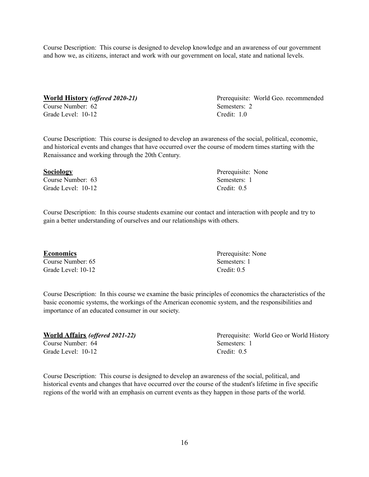Course Description: This course is designed to develop knowledge and an awareness of our government and how we, as citizens, interact and work with our government on local, state and national levels.

**World History** (offered 2020-21) Prerequisite: World Geo. recommended Course Number: 62 Semesters: 2

Grade Level: 10-12 Credit: 1.0

Course Description: This course is designed to develop an awareness of the social, political, economic, and historical events and changes that have occurred over the course of modern times starting with the Renaissance and working through the 20th Century.

#### **Sociology** Prerequisite: None

Course Number: 63 Semesters: 1 Grade Level: 10-12 Credit: 0.5

Course Description: In this course students examine our contact and interaction with people and try to gain a better understanding of ourselves and our relationships with others.

Course Number: 65 Semesters: 1 Grade Level: 10-12 Credit: 0.5

Course Description: In this course we examine the basic principles of economics the characteristics of the basic economic systems, the workings of the American economic system, and the responsibilities and importance of an educated consumer in our society.

**World Affairs** (offered 2021-22) Prerequisite: World Geo or World History Course Number: 64 Semesters: 1 Grade Level: 10-12 Credit: 0.5

Course Description: This course is designed to develop an awareness of the social, political, and historical events and changes that have occurred over the course of the student's lifetime in five specific regions of the world with an emphasis on current events as they happen in those parts of the world.

**Economics** Prerequisite: None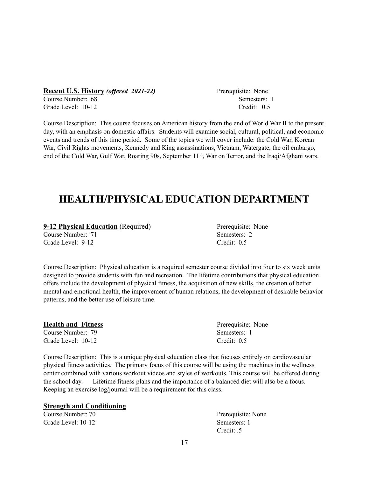**Recent U.S. History** *(offered 2021-22)* Prerequisite: None Course Number: 68 Semesters: 1

Course Description: This course focuses on American history from the end of World War II to the present day, with an emphasis on domestic affairs. Students will examine social, cultural, political, and economic events and trends of this time period. Some of the topics we will cover include: the Cold War, Korean War, Civil Rights movements, Kennedy and King assassinations, Vietnam, Watergate, the oil embargo, end of the Cold War, Gulf War, Roaring 90s, September 11<sup>th</sup>, War on Terror, and the Iraqi/Afghani wars.

## **HEALTH/PHYSICAL EDUCATION DEPARTMENT**

| <b>9-12 Physical Education</b> (Required) |  |
|-------------------------------------------|--|
| Course Number: 71                         |  |

Grade Level: 9-12 Credit: 0.5

Course Description: Physical education is a required semester course divided into four to six week units designed to provide students with fun and recreation. The lifetime contributions that physical education offers include the development of physical fitness, the acquisition of new skills, the creation of better mental and emotional health, the improvement of human relations, the development of desirable behavior patterns, and the better use of leisure time.

#### **Health and Fitness** Prerequisite: None

Course Number: 79 Semesters: 1 Grade Level: 10-12 Credit: 0.5

Course Description: This is a unique physical education class that focuses entirely on cardiovascular physical fitness activities. The primary focus of this course will be using the machines in the wellness center combined with various workout videos and styles of workouts. This course will be offered during the school day. Lifetime fitness plans and the importance of a balanced diet will also be a focus. Keeping an exercise log/journal will be a requirement for this class.

#### **Strength and Conditioning**

Course Number: 70 Prerequisite: None Grade Level: 10-12 Semesters: 1

Credit: .5

Grade Level: 10-12 Credit: 0.5

Semesters: 2

Prerequisite: None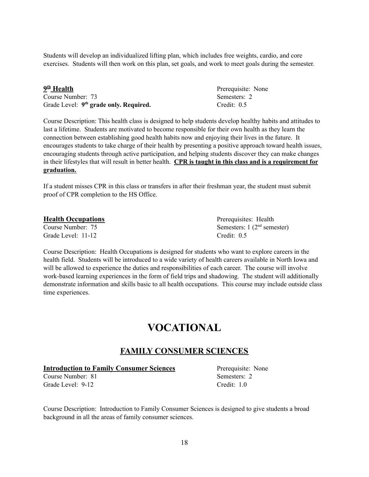Students will develop an individualized lifting plan, which includes free weights, cardio, and core exercises. Students will then work on this plan, set goals, and work to meet goals during the semester.

| 9th Health                                         | Prerequisite: None |
|----------------------------------------------------|--------------------|
| Course Number: 73                                  | Semesters: 2       |
| Grade Level: 9 <sup>th</sup> grade only. Required. | Credit: $0.5$      |

Course Description: This health class is designed to help students develop healthy habits and attitudes to last a lifetime. Students are motivated to become responsible for their own health as they learn the connection between establishing good health habits now and enjoying their lives in the future. It encourages students to take charge of their health by presenting a positive approach toward health issues, encouraging students through active participation, and helping students discover they can make changes in their lifestyles that will result in better health. **CPR is taught in this class and is a requirement for graduation.**

If a student misses CPR in this class or transfers in after their freshman year, the student must submit proof of CPR completion to the HS Office.

|  |  | <b>Health Occupations</b> |
|--|--|---------------------------|
|--|--|---------------------------|

Course Number: 75 Grade Level: 11-12 Credit: 0.5

Prerequisites: Health <sup>nd</sup> semester)

Course Description: Health Occupations is designed for students who want to explore careers in the health field. Students will be introduced to a wide variety of health careers available in North Iowa and will be allowed to experience the duties and responsibilities of each career. The course will involve work-based learning experiences in the form of field trips and shadowing. The student will additionally demonstrate information and skills basic to all health occupations. This course may include outside class time experiences.

### **VOCATIONAL**

### **FAMILY CONSUMER SCIENCES**

#### **Introduction to Family Consumer Sciences** Prerequisite: None

Course Number: 81 Semesters: 2 Grade Level: 9-12 Credit: 1.0

Course Description: Introduction to Family Consumer Sciences is designed to give students a broad background in all the areas of family consumer sciences.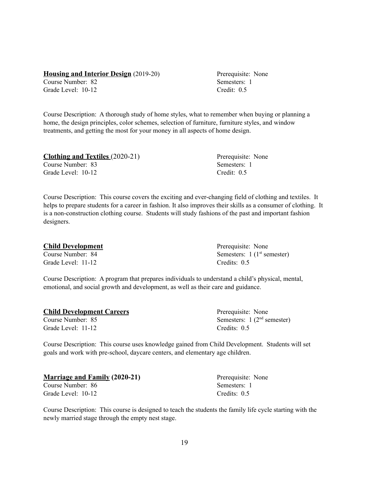#### **Housing and Interior Design** (2019-20) Prerequisite: None

Course Number: 82 Semesters: 1 Grade Level: 10-12 Credit: 0.5

Course Description: A thorough study of home styles, what to remember when buying or planning a home, the design principles, color schemes, selection of furniture, furniture styles, and window treatments, and getting the most for your money in all aspects of home design.

| <b>Clothing and Textiles (2020-21)</b> | Prerequisite: None |
|----------------------------------------|--------------------|
| Course Number: 83                      | Semesters: 1       |
| Grade Level: 10-12                     | Credit: $0.5$      |

Course Description: This course covers the exciting and ever-changing field of clothing and textiles. It helps to prepare students for a career in fashion. It also improves their skills as a consumer of clothing. It is a non-construction clothing course. Students will study fashions of the past and important fashion designers.

| <b>Child Development</b> | Prerequisite: None                     |
|--------------------------|----------------------------------------|
| Course Number: 84        | Semesters: $1(1^{\text{st}}$ semester) |
| Grade Level: 11-12       | Credits: 0.5                           |

Course Description: A program that prepares individuals to understand a child's physical, mental, emotional, and social growth and development, as well as their care and guidance.

| <b>Child Development Careers</b> | Prerequisite: None           |
|----------------------------------|------------------------------|
| Course Number: 85                | Semesters: $1(2nd$ semester) |
| Grade Level: 11-12               | Credits: 0.5                 |

Course Description: This course uses knowledge gained from Child Development. Students will set goals and work with pre-school, daycare centers, and elementary age children.

| <b>Marriage and Family (2020-21)</b> | Prerequisite: None |
|--------------------------------------|--------------------|
| Course Number: 86                    | Semesters: 1       |
| Grade Level: 10-12                   | Credits: $0.5$     |

Course Description: This course is designed to teach the students the family life cycle starting with the newly married stage through the empty nest stage.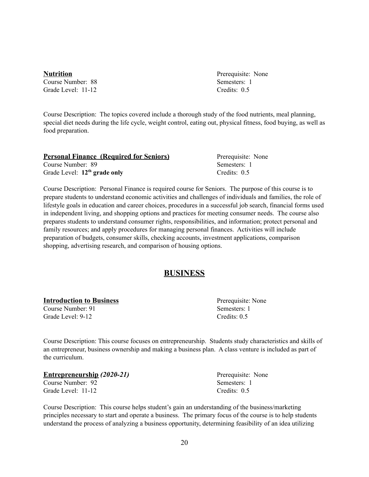**Nutrition** Prerequisite: None Course Number: 88 Semesters: 1 Grade Level: 11-12 Credits: 0.5

Course Description: The topics covered include a thorough study of the food nutrients, meal planning, special diet needs during the life cycle, weight control, eating out, physical fitness, food buying, as well as food preparation.

| <b>Personal Finance (Required for Seniors)</b> | Prerequisite: None |
|------------------------------------------------|--------------------|
| Course Number: 89                              | Semesters: 1       |
| Grade Level: $12th$ grade only                 | Credits: $0.5$     |

Course Description: Personal Finance is required course for Seniors. The purpose of this course is to prepare students to understand economic activities and challenges of individuals and families, the role of lifestyle goals in education and career choices, procedures in a successful job search, financial forms used in independent living, and shopping options and practices for meeting consumer needs. The course also prepares students to understand consumer rights, responsibilities, and information; protect personal and family resources; and apply procedures for managing personal finances. Activities will include preparation of budgets, consumer skills, checking accounts, investment applications, comparison shopping, advertising research, and comparison of housing options.

#### **BUSINESS**

#### **Introduction to Business Prerequisite: None**

Grade Level: 9-12 Credits: 0.5

Course Number: 91 Semesters: 1

Course Description: This course focuses on entrepreneurship. Students study characteristics and skills of an entrepreneur, business ownership and making a business plan. A class venture is included as part of the curriculum.

| <b>Entrepreneurship (2020-21)</b> | Prerequisite: None |
|-----------------------------------|--------------------|
| Course Number: 92                 | Semesters: 1       |
| Grade Level: 11-12                | Credits: 0.5       |

Course Description: This course helps student's gain an understanding of the business/marketing principles necessary to start and operate a business. The primary focus of the course is to help students understand the process of analyzing a business opportunity, determining feasibility of an idea utilizing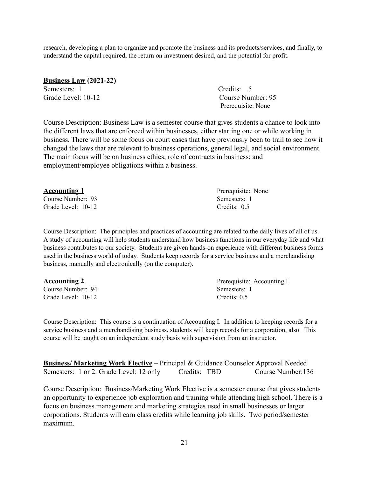research, developing a plan to organize and promote the business and its products/services, and finally, to understand the capital required, the return on investment desired, and the potential for profit.

| <b>Business Law (2021-22)</b> |                    |
|-------------------------------|--------------------|
| Semesters: 1                  | Credits: .5        |
| Grade Level: 10-12            | Course Number: 95  |
|                               | Prerequisite: None |

Course Description: Business Law is a semester course that gives students a chance to look into the different laws that are enforced within businesses, either starting one or while working in business. There will be some focus on court cases that have previously been to trail to see how it changed the laws that are relevant to business operations, general legal, and social environment. The main focus will be on business ethics; role of contracts in business; and employment/employee obligations within a business.

| <u>Accounting 1</u> | Prerequisite: None |
|---------------------|--------------------|
| Course Number: 93   | Semesters: 1       |
| Grade Level: 10-12  | Credits: 0.5       |

Course Description: The principles and practices of accounting are related to the daily lives of all of us. A study of accounting will help students understand how business functions in our everyday life and what business contributes to our society. Students are given hands-on experience with different business forms used in the business world of today. Students keep records for a service business and a merchandising business, manually and electronically (on the computer).

| <u>Accounting 2</u> | Prerequisite: Accounting I |
|---------------------|----------------------------|
| Course Number: 94   | Semesters: 1               |
| Grade Level: 10-12  | Credits: $0.5$             |

Course Description: This course is a continuation of Accounting I. In addition to keeping records for a service business and a merchandising business, students will keep records for a corporation, also. This course will be taught on an independent study basis with supervision from an instructor.

**Business/ Marketing Work Elective** – Principal & Guidance Counselor Approval Needed Semesters: 1 or 2. Grade Level: 12 only Credits: TBD Course Number: 136

Course Description: Business/Marketing Work Elective is a semester course that gives students an opportunity to experience job exploration and training while attending high school. There is a focus on business management and marketing strategies used in small businesses or larger corporations. Students will earn class credits while learning job skills. Two period/semester maximum.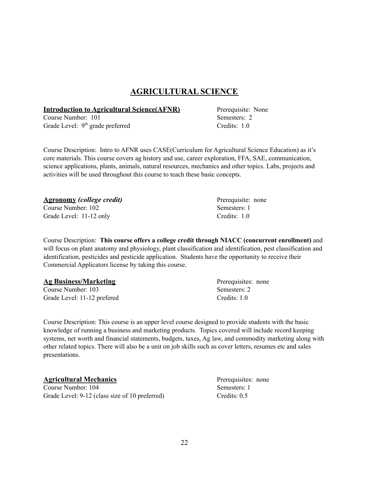### **AGRICULTURAL SCIENCE**

#### **Introduction to Agricultural Science(AFNR)** Prerequisite: None

Course Number: 101 Semesters: 2 Grade Level: 9<sup>th</sup> grade preferred Credits: 1.0

Course Description: Intro to AFNR uses CASE(Curriculum for Agricultural Science Education) as it's core materials. This course covers ag history and use, career exploration, FFA, SAE, communication, science applications, plants, animals, natural resources, mechanics and other topics. Labs, projects and activities will be used throughout this course to teach these basic concepts.

| <u>Agronomy</u> (college credit) | Prerequisite: none |  |
|----------------------------------|--------------------|--|
| Course Number: 102               | Semesters: 1       |  |
| Grade Level: 11-12 only          | Credits: 1.0       |  |

Course Description: **This course offers a college credit through NIACC (concurrent enrollment)** and will focus on plant anatomy and physiology, plant classification and identification, pest classification and identification, pesticides and pesticide application. Students have the opportunity to receive their Commercial Applicators license by taking this course.

| <b>Ag Business/Marketing</b> | Prerequisites: none |
|------------------------------|---------------------|
| Course Number: 103           | Semesters: 2        |
| Grade Level: 11-12 prefered  | Credits: 1.0        |

Course Description: This course is an upper level course designed to provide students with the basic knowledge of running a business and marketing products. Topics covered will include record keeping systems, net worth and financial statements, budgets, taxes, Ag law, and commodity marketing along with other related topics. There will also be a unit on job skills such as cover letters, resumes etc and sales presentations.

| <b>Agricultural Mechanics</b>                  | Prerequisites: none |
|------------------------------------------------|---------------------|
| Course Number: 104                             | Semesters: 1        |
| Grade Level: 9-12 (class size of 10 preferred) | Credits: $0.5$      |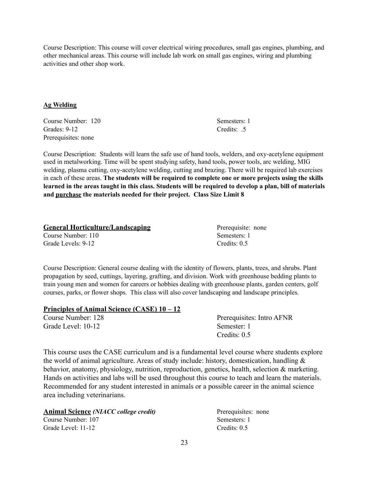Course Description: This course will cover electrical wiring procedures, small gas engines, plumbing, and other mechanical areas. This course will include lab work on small gas engines, wiring and plumbing activities and other shop work.

#### **Ag Welding**

**Course Number: 120** Semesters: 1 Grades: 9-12 Credits: .5 Prerequisites: none

Course Description: Students will learn the safe use of hand tools, welders, and oxy-acetylene equipment used in metalworking. Time will be spent studying safety, hand tools, power tools, arc welding, MIG welding, plasma cutting, oxy-acetylene welding, cutting and brazing. There will be required lab exercises in each of these areas. **The students will be required to complete one or more projects using the skills** learned in the areas taught in this class. Students will be required to develop a plan, bill of materials **and purchase the materials needed for their project. Class Size Limit 8**

| <b>General Horticulture/Landscaping</b> | Prerequisite: none |
|-----------------------------------------|--------------------|
| Course Number: 110                      | Semesters: 1       |
| Grade Levels: 9-12                      | Credits: $0.5$     |

Course Description: General course dealing with the identity of flowers, plants, trees, and shrubs. Plant propagation by seed, cuttings, layering, grafting, and division. Work with greenhouse bedding plants to train young men and women for careers or hobbies dealing with greenhouse plants, garden centers, golf courses, parks, or flower shops. This class will also cover landscaping and landscape principles.

#### **Principles of Animal Science (CASE) 10 – 12**

Grade Level: 10-12 Semester: 1

Course Number: 128 Prerequisites: Intro AFNR Credits: 0.5

This course uses the CASE curriculum and is a fundamental level course where students explore the world of animal agriculture. Areas of study include: history, domestication, handling & behavior, anatomy, physiology, nutrition, reproduction, genetics, health, selection & marketing. Hands on activities and labs will be used throughout this course to teach and learn the materials. Recommended for any student interested in animals or a possible career in the animal science area including veterinarians.

| <b>Animal Science (NIACC college credit)</b> | Prerequisites: none |  |
|----------------------------------------------|---------------------|--|
| Course Number: 107                           | Semesters: 1        |  |
| Grade Level: 11-12                           | Credits: $0.5$      |  |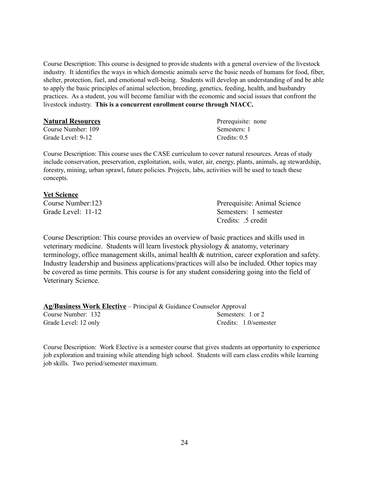Course Description: This course is designed to provide students with a general overview of the livestock industry. It identifies the ways in which domestic animals serve the basic needs of humans for food, fiber, shelter, protection, fuel, and emotional well-being. Students will develop an understanding of and be able to apply the basic principles of animal selection, breeding, genetics, feeding, health, and husbandry practices. As a student, you will become familiar with the economic and social issues that confront the livestock industry. **This is a concurrent enrollment course through NIACC.**

#### **Natural Resources** and **Preference Preference Preference Preference** Prerequisite: none

Course Number: 109 Semesters: 1 Grade Level: 9-12 Credits: 0.5

Course Description: This course uses the CASE curriculum to cover natural resources. Areas of study include conservation, preservation, exploitation, soils, water, air, energy, plants, animals, ag stewardship, forestry, mining, urban sprawl, future policies. Projects, labs, activities will be used to teach these concepts.

#### **Vet Science**

Course Number:123 Prerequisite: Animal Science Grade Level: 11-12 Semesters: 1 semester Credits: .5 credit

Course Description: This course provides an overview of basic practices and skills used in veterinary medicine. Students will learn livestock physiology & anatomy, veterinary terminology, office management skills, animal health & nutrition, career exploration and safety. Industry leadership and business applications/practices will also be included. Other topics may be covered as time permits. This course is for any student considering going into the field of Veterinary Science.

**Ag/Business Work Elective** – Principal & Guidance Counselor Approval Course Number: 132 Semesters: 1 or 2 Grade Level: 12 only Credits: 1.0/semester

Course Description: Work Elective is a semester course that gives students an opportunity to experience job exploration and training while attending high school. Students will earn class credits while learning job skills. Two period/semester maximum.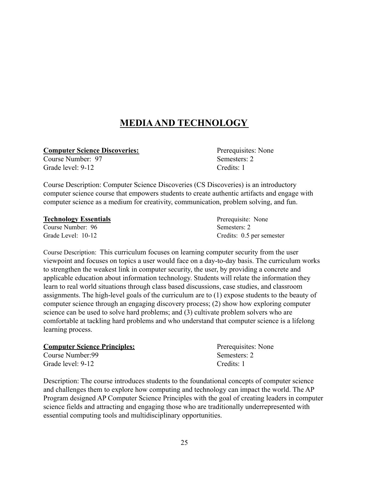### **MEDIAAND TECHNOLOGY**

**Computer Science Discoveries:** Prerequisites: None

Course Number: 97 Semesters: 2 Grade level: 9-12 Credits: 1

Course Description: Computer Science Discoveries (CS Discoveries) is an introductory computer science course that empowers students to create authentic artifacts and engage with computer science as a medium for creativity, communication, problem solving, and fun.

#### **Technology Essentials** Prerequisite: None

Course Number: 96 Semesters: 2

Grade Level: 10-12 Credits: 0.5 per semester

Course Description: This curriculum focuses on learning computer security from the user viewpoint and focuses on topics a user would face on a day-to-day basis. The curriculum works to strengthen the weakest link in computer security, the user, by providing a concrete and applicable education about information technology. Students will relate the information they learn to real world situations through class based discussions, case studies, and classroom assignments. The high-level goals of the curriculum are to (1) expose students to the beauty of computer science through an engaging discovery process; (2) show how exploring computer science can be used to solve hard problems; and (3) cultivate problem solvers who are comfortable at tackling hard problems and who understand that computer science is a lifelong learning process.

| <b>Computer Science Principles:</b> | Prerequisites: None |
|-------------------------------------|---------------------|
| Course Number:99                    | Semesters: 2        |
| Grade level: 9-12                   | Credits: 1          |

Description: The course introduces students to the foundational concepts of computer science and challenges them to explore how computing and technology can impact the world. The AP Program designed AP Computer Science Principles with the goal of creating leaders in computer science fields and attracting and engaging those who are traditionally underrepresented with essential computing tools and multidisciplinary opportunities.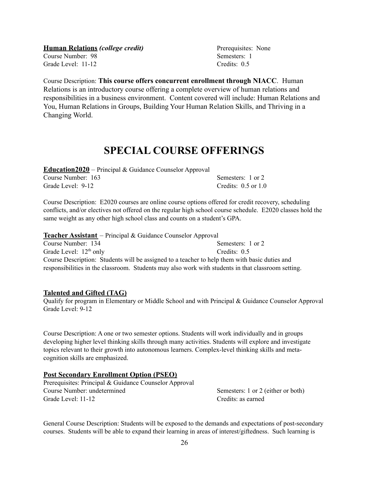Grade Level: 11-12 Credits: 0.5

Course Description: **This course offers concurrent enrollment through NIACC**. Human Relations is an introductory course offering a complete overview of human relations and responsibilities in a business environment. Content covered will include: Human Relations and You, Human Relations in Groups, Building Your Human Relation Skills, and Thriving in a Changing World.

## **SPECIAL COURSE OFFERINGS**

| <b>Education2020</b> – Principal & Guidance Counselor Approval |                         |
|----------------------------------------------------------------|-------------------------|
| Course Number: 163                                             | Semesters: 1 or 2       |
| Grade Level: 9-12                                              | Credits: $0.5$ or $1.0$ |

Course Description: E2020 courses are online course options offered for credit recovery, scheduling conflicts, and/or electives not offered on the regular high school course schedule. E2020 classes hold the same weight as any other high school class and counts on a student's GPA.

**Teacher Assistant** – Principal & Guidance Counselor Approval Course Number: 134 Semesters: 1 or 2 Grade Level:  $12<sup>th</sup>$  only Credits: 0.5 Course Description: Students will be assigned to a teacher to help them with basic duties and responsibilities in the classroom. Students may also work with students in that classroom setting.

### **Talented and Gifted (TAG)**

Qualify for program in Elementary or Middle School and with Principal & Guidance Counselor Approval Grade Level: 9-12

Course Description: A one or two semester options. Students will work individually and in groups developing higher level thinking skills through many activities. Students will explore and investigate topics relevant to their growth into autonomous learners. Complex-level thinking skills and metacognition skills are emphasized.

### **Post Secondary Enrollment Option (PSEO)**

Prerequisites: Principal & Guidance Counselor Approval Course Number: undetermined Semesters: 1 or 2 (either or both) Grade Level: 11-12 Credits: as earned

General Course Description: Students will be exposed to the demands and expectations of post-secondary courses. Students will be able to expand their learning in areas of interest/giftedness. Such learning is

**Human Relations** *(college credit)* Prerequisites: None Course Number: 98 Semesters: 1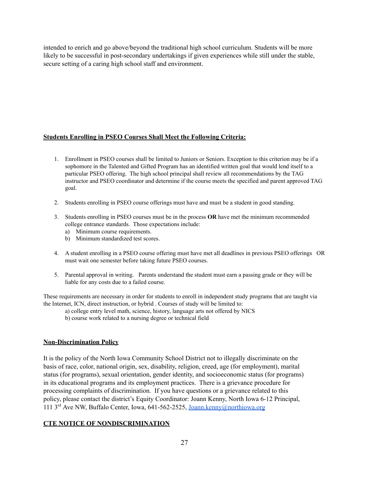intended to enrich and go above/beyond the traditional high school curriculum. Students will be more likely to be successful in post-secondary undertakings if given experiences while still under the stable, secure setting of a caring high school staff and environment.

#### **Students Enrolling in PSEO Courses Shall Meet the Following Criteria:**

- 1. Enrollment in PSEO courses shall be limited to Juniors or Seniors. Exception to this criterion may be if a sophomore in the Talented and Gifted Program has an identified written goal that would lend itself to a particular PSEO offering. The high school principal shall review all recommendations by the TAG instructor and PSEO coordinator and determine if the course meets the specified and parent approved TAG goal.
- 2. Students enrolling in PSEO course offerings must have and must be a student in good standing.
- 3. Students enrolling in PSEO courses must be in the process **OR** have met the minimum recommended college entrance standards. Those expectations include:
	- a) Minimum course requirements.
	- b) Minimum standardized test scores.
- 4. A student enrolling in a PSEO course offering must have met all deadlines in previous PSEO offerings OR must wait one semester before taking future PSEO courses.
- 5. Parental approval in writing. Parents understand the student must earn a passing grade or they will be liable for any costs due to a failed course.

These requirements are necessary in order for students to enroll in independent study programs that are taught via the Internet, ICN, direct instruction, or hybrid . Courses of study will be limited to:

a) college entry level math, science, history, language arts not offered by NICS

b) course work related to a nursing degree or technical field

#### **Non-Discrimination Policy**

It is the policy of the North Iowa Community School District not to illegally discriminate on the basis of race, color, national origin, sex, disability, religion, creed, age (for employment), marital status (for programs), sexual orientation, gender identity, and socioeconomic status (for programs) in its educational programs and its employment practices. There is a grievance procedure for processing complaints of discrimination. If you have questions or a grievance related to this policy, please contact the district's Equity Coordinator: Joann Kenny, North Iowa 6-12 Principal, 111 3<sup>rd</sup> Ave NW, Buffalo Center, Iowa, 641-562-2525, [Joann.kenny@northiowa.org](mailto:Joann.kenny@northiowa.org)

#### **CTE NOTICE OF NONDISCRIMINATION**